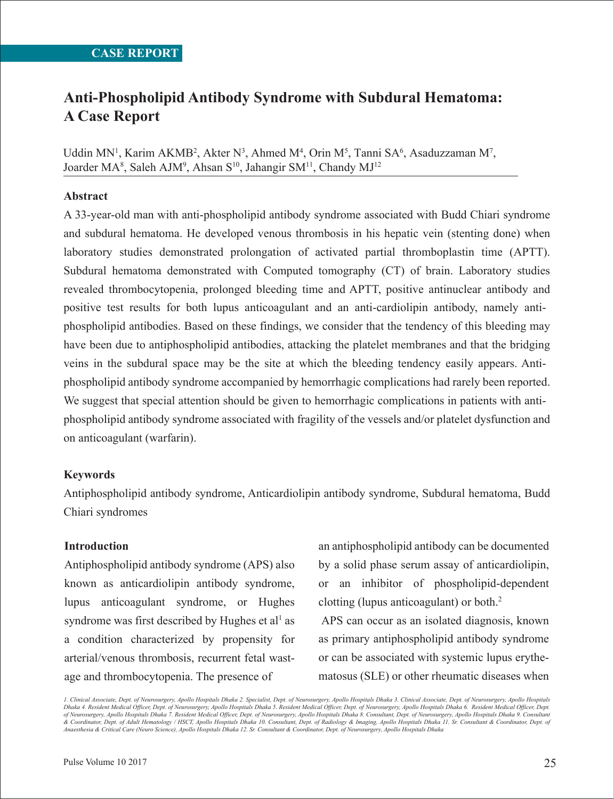# **Anti-Phospholipid Antibody Syndrome with Subdural Hematoma: A Case Report**

Uddin MN<sup>1</sup>, Karim AKMB<sup>2</sup>, Akter N<sup>3</sup>, Ahmed M<sup>4</sup>, Orin M<sup>5</sup>, Tanni SA<sup>6</sup>, Asaduzzaman M<sup>7</sup>, Joarder MA<sup>8</sup>, Saleh AJM<sup>9</sup>, Ahsan S<sup>10</sup>, Jahangir SM<sup>11</sup>, Chandy MJ<sup>12</sup>

### **Abstract**

A 33-year-old man with anti-phospholipid antibody syndrome associated with Budd Chiari syndrome and subdural hematoma. He developed venous thrombosis in his hepatic vein (stenting done) when laboratory studies demonstrated prolongation of activated partial thromboplastin time (APTT). Subdural hematoma demonstrated with Computed tomography (CT) of brain. Laboratory studies revealed thrombocytopenia, prolonged bleeding time and APTT, positive antinuclear antibody and positive test results for both lupus anticoagulant and an anti-cardiolipin antibody, namely antiphospholipid antibodies. Based on these findings, we consider that the tendency of this bleeding may have been due to antiphospholipid antibodies, attacking the platelet membranes and that the bridging veins in the subdural space may be the site at which the bleeding tendency easily appears. Antiphospholipid antibody syndrome accompanied by hemorrhagic complications had rarely been reported. We suggest that special attention should be given to hemorrhagic complications in patients with antiphospholipid antibody syndrome associated with fragility of the vessels and/or platelet dysfunction and on anticoagulant (warfarin).

#### **Keywords**

Antiphospholipid antibody syndrome, Anticardiolipin antibody syndrome, Subdural hematoma, Budd Chiari syndromes

#### **Introduction**

Antiphospholipid antibody syndrome (APS) also known as anticardiolipin antibody syndrome, lupus anticoagulant syndrome, or Hughes syndrome was first described by Hughes et  $al<sup>1</sup>$  as a condition characterized by propensity for arterial/venous thrombosis, recurrent fetal wastage and thrombocytopenia. The presence of

an antiphospholipid antibody can be documented by a solid phase serum assay of anticardiolipin, or an inhibitor of phospholipid-dependent clotting (lupus anticoagulant) or both.2

 APS can occur as an isolated diagnosis, known as primary antiphospholipid antibody syndrome or can be associated with systemic lupus erythematosus (SLE) or other rheumatic diseases when

*1. Clinical Associate, Dept. of Neurosurgery, Apollo Hospitals Dhaka 2. Specialist, Dept. of Neurosurgery, Apollo Hospitals Dhaka 3. Clinical Associate, Dept. of Neurosurgery, Apollo Hospitals Dhaka 4. Resident Medical Officer, Dept. of Neurosurgery, Apollo Hospitals Dhaka 5. Resident Medical Officer, Dept. of Neurosurgery, Apollo Hospitals Dhaka 6. Resident Medical Officer, Dept.*  of Neurosurgery, Apollo Hospitals Dhaka 7. Resident Medical Officer, Dept. of Neurosurgery, Apollo Hospitals Dhaka Dhaka 9. Consultant Daspitals Dhaka 9. Consultant<br>& Coordinator, Dept. of Adult Hematology / HSCT, Apollo H *Anaesthesia & Critical Care (Neuro Science), Apollo Hospitals Dhaka 12. Sr. Consultant & Coordinator, Dept. of Neurosurgery, Apollo Hospitals Dhaka*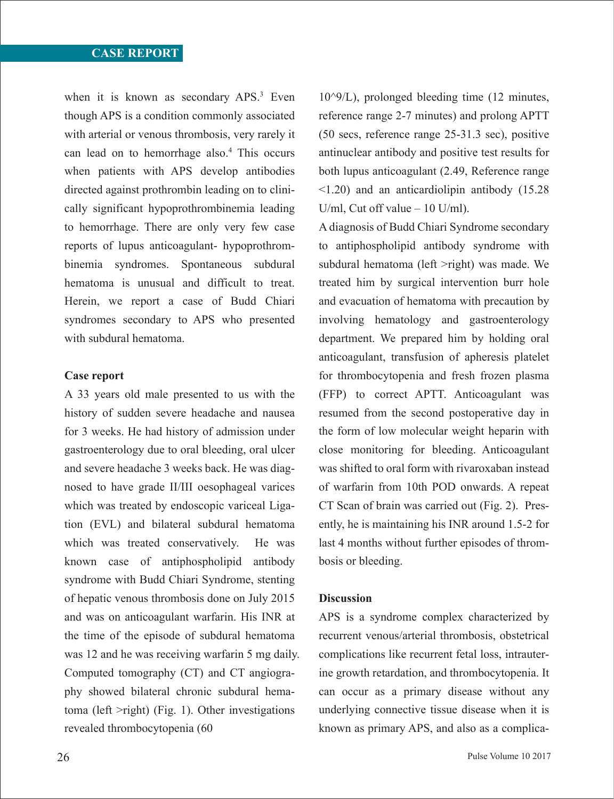when it is known as secondary APS.<sup>3</sup> Even though APS is a condition commonly associated with arterial or venous thrombosis, very rarely it can lead on to hemorrhage also.<sup>4</sup> This occurs when patients with APS develop antibodies directed against prothrombin leading on to clinically significant hypoprothrombinemia leading to hemorrhage. There are only very few case reports of lupus anticoagulant- hypoprothrombinemia syndromes. Spontaneous subdural hematoma is unusual and difficult to treat. Herein, we report a case of Budd Chiari syndromes secondary to APS who presented with subdural hematoma.

#### **Case report**

A 33 years old male presented to us with the history of sudden severe headache and nausea for 3 weeks. He had history of admission under gastroenterology due to oral bleeding, oral ulcer and severe headache 3 weeks back. He was diagnosed to have grade II/III oesophageal varices which was treated by endoscopic variceal Ligation (EVL) and bilateral subdural hematoma which was treated conservatively. He was known case of antiphospholipid antibody syndrome with Budd Chiari Syndrome, stenting of hepatic venous thrombosis done on July 2015 and was on anticoagulant warfarin. His INR at the time of the episode of subdural hematoma was 12 and he was receiving warfarin 5 mg daily. Computed tomography (CT) and CT angiography showed bilateral chronic subdural hematoma (left >right) (Fig. 1). Other investigations revealed thrombocytopenia (60

 $10^{\circ}9$ /L), prolonged bleeding time (12 minutes, reference range 2-7 minutes) and prolong APTT (50 secs, reference range 25-31.3 sec), positive antinuclear antibody and positive test results for both lupus anticoagulant (2.49, Reference range <1.20) and an anticardiolipin antibody (15.28 U/ml, Cut off value – 10 U/ml).

A diagnosis of Budd Chiari Syndrome secondary to antiphospholipid antibody syndrome with subdural hematoma (left >right) was made. We treated him by surgical intervention burr hole and evacuation of hematoma with precaution by involving hematology and gastroenterology department. We prepared him by holding oral anticoagulant, transfusion of apheresis platelet for thrombocytopenia and fresh frozen plasma (FFP) to correct APTT. Anticoagulant was resumed from the second postoperative day in the form of low molecular weight heparin with close monitoring for bleeding. Anticoagulant was shifted to oral form with rivaroxaban instead of warfarin from 10th POD onwards. A repeat CT Scan of brain was carried out (Fig. 2). Presently, he is maintaining his INR around 1.5-2 for last 4 months without further episodes of thrombosis or bleeding.

#### **Discussion**

APS is a syndrome complex characterized by recurrent venous/arterial thrombosis, obstetrical complications like recurrent fetal loss, intrauterine growth retardation, and thrombocytopenia. It can occur as a primary disease without any underlying connective tissue disease when it is known as primary APS, and also as a complica-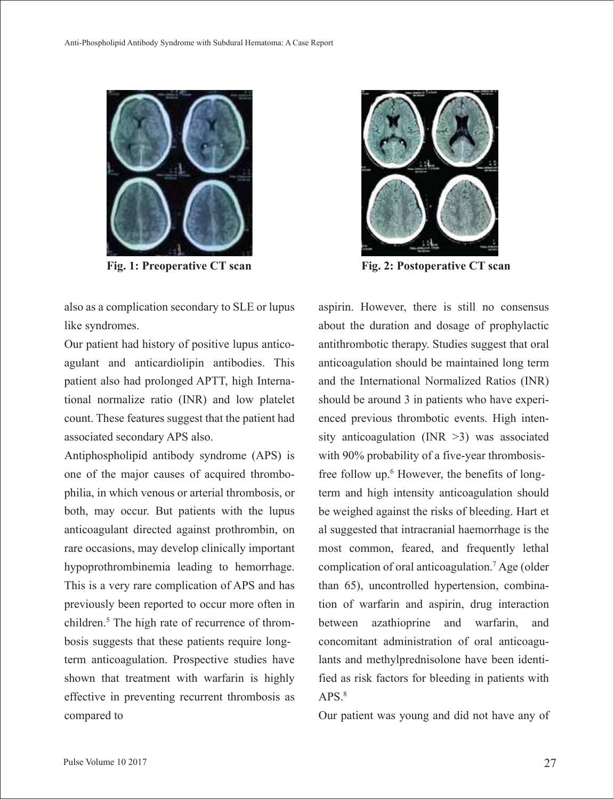

Fig. 1: Preoperative CT scan<br>
Fig. 2: Postoperative CT scan

also as a complication secondary to SLE or lupus like syndromes.

Our patient had history of positive lupus anticoagulant and anticardiolipin antibodies. This patient also had prolonged APTT, high International normalize ratio (INR) and low platelet count. These features suggest that the patient had associated secondary APS also.

Antiphospholipid antibody syndrome (APS) is one of the major causes of acquired thrombophilia, in which venous or arterial thrombosis, or both, may occur. But patients with the lupus anticoagulant directed against prothrombin, on rare occasions, may develop clinically important hypoprothrombinemia leading to hemorrhage. This is a very rare complication of APS and has previously been reported to occur more often in children.<sup>5</sup> The high rate of recurrence of thrombosis suggests that these patients require longterm anticoagulation. Prospective studies have shown that treatment with warfarin is highly effective in preventing recurrent thrombosis as compared to



aspirin. However, there is still no consensus about the duration and dosage of prophylactic antithrombotic therapy. Studies suggest that oral anticoagulation should be maintained long term and the International Normalized Ratios (INR) should be around 3 in patients who have experienced previous thrombotic events. High intensity anticoagulation (INR >3) was associated with 90% probability of a five-year thrombosisfree follow up.<sup>6</sup> However, the benefits of longterm and high intensity anticoagulation should be weighed against the risks of bleeding. Hart et al suggested that intracranial haemorrhage is the most common, feared, and frequently lethal complication of oral anticoagulation.7 Age (older than 65), uncontrolled hypertension, combination of warfarin and aspirin, drug interaction between azathioprine and warfarin, and concomitant administration of oral anticoagulants and methylprednisolone have been identified as risk factors for bleeding in patients with  $APS.$ <sup>8</sup>

Our patient was young and did not have any of